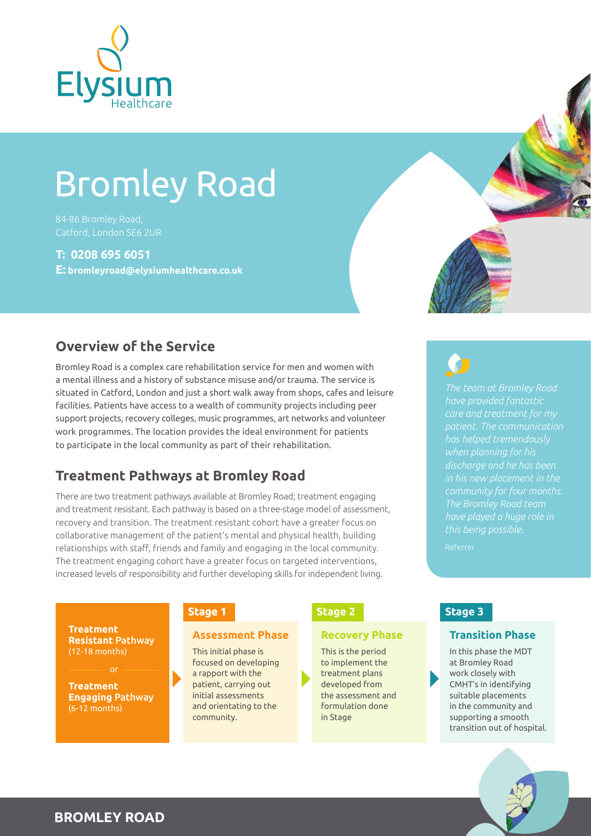

# Bromley Road

84-86 Bromley Road, Catford, London SE6 2UR

### **T: 0208 695 6051**

**E: bromleyroad@elysiumhealthcare.co.uk**

## **Overview of the Service**

Bromley Road is a complex care rehabilitation service for men and women with a mental illness and a history of substance misuse and/or trauma. The service is situated in Catford, London and just a short walk away from shops, cafes and leisure facilities. Patients have access to a wealth of community projects including peer support projects, recovery colleges, music programmes, art networks and volunteer work programmes. The location provides the ideal environment for patients to participate in the local community as part of their rehabilitation.

# **Treatment Pathways at Bromley Road**

There are two treatment pathways available at Bromley Road; treatment engaging and treatment resistant. Each pathway is based on a three-stage model of assessment, recovery and transition. The treatment resistant cohort have a greater focus on collaborative management of the patient's mental and physical health, building relationships with staff, friends and family and engaging in the local community. The treatment engaging cohort have a greater focus on targeted interventions, increased levels of responsibility and further developing skills for independent living.

**Recovery Phase Treatment Assessment Phase Resistant** Pathway (12-18 months)

**Treatment Engaging** Pathway (6-12 months)

### **Stage 1**

This initial phase is focused on developing a rapport with the patient, carrying out initial assessments and orientating to the community.

### **Stage 2**

This is the period to implement the treatment plans developed from the assessment and formulation done in Stage



*The team at Bromley Road have provided fantastic patient. The communication has helped tremendously when planning for his discharge and he has been in his new placement in the The Bromley Road team have played a huge role in this being possible.*

### **Stage 3**

### **Transition Phase**

In this phase the MDT at Bromley Road work closely with CMHT's in identifying suitable placements in the community and supporting a smooth transition out of hospital.



**BROMLEY ROAD**